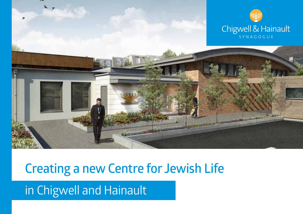

### **Creating a new Centre for Jewish Life**

in Chigwell and Hainault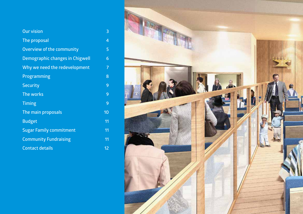| <b>Our vision</b>               | 3  |
|---------------------------------|----|
| The proposal                    | 4  |
| Overview of the community       | 5  |
| Demographic changes in Chigwell | 6  |
| Why we need the redevelopment   | 7  |
| <b>Programming</b>              | 8  |
| <b>Security</b>                 | 9  |
| The works                       | 9  |
| <b>Timing</b>                   | 9  |
| The main proposals              | 10 |
| <b>Budget</b>                   | 11 |
| <b>Sugar Family commitment</b>  | 11 |
| <b>Community Fundraising</b>    | 11 |
| <b>Contact details</b>          | 12 |

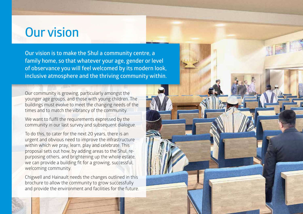### **Our vision**

**Our vision is to make the Shul a community centre, a family home, so that whatever your age, gender or level of observance you will feel welcomed by its modern look, inclusive atmosphere and the thriving community within.**

Our community is growing, particularly amongst the younger age groups, and those with young children. The buildings must evolve to meet the changing needs of the times and to match the vibrancy of the community.

We want to fulfil the requirements expressed by the community in our last survey and subsequent dialogue.

To do this, to cater for the next 20 years, there is an urgent and obvious need to improve the infrastructure within which we pray, learn, play and celebrate. This proposal sets out how, by adding areas to the Shul, repurposing others, and brightening up the whole estate, we can provide a building fit for a growing, successful, welcoming community.

Chigwell and Hainault needs the changes outlined in this brochure to allow the community to grow successfully and provide the environment and facilities for the future.

<u>ح</u>

3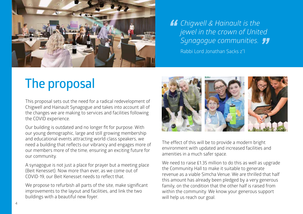

*Chigwell & Hainault is the*<br> *jewel in the crown of Unite*<br> *Sunggogue communities jewel in the crown of United Synagogue communities. "*

Rabbi Lord Jonathan Sacks z"l

# **The proposal**

This proposal sets out the need for a radical redevelopment of Chigwell and Hainault Synagogue and takes into account all of the changes we are making to services and facilities following the COVID experience.

Our building is outdated and no longer fit for purpose. With our young demographic, large and still growing membership and educational events attracting world-class speakers, we need a building that reflects our vibrancy and engages more of our members more of the time, ensuring an exciting future for our community.

A synagogue is not just a place for prayer but a meeting place (Beit Kenesset). Now more than ever, as we come out of COVID-19, our Beit Kenesset needs to reflect that.

We propose to refurbish all parts of the site, make significant improvements to the layout and facilities, and link the two buildings with a beautiful new foyer.



The effect of this will be to provide a modern bright environment with updated and increased facilities and amenities in a much safer space.

We need to raise £1.35 million to do this as well as upgrade the Community Hall to make it suitable to generate revenue as a viable Simcha Venue. We are thrilled that half this amount has already been pledged by a very generous family, on the condition that the other half is raised from within the community. We know your generous support will help us reach our goal.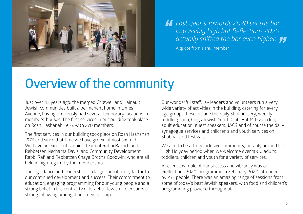

*Last year's Towards 2020 set the bar impossibly high but Reflections 2020*<br>**4** *actually shifted the bar even higher. impossibly high but Reflections 2020 actually shifted the bar even higher. "*

A quote from a shul member

### **Overview of the community**

Just over 43 years ago, the merged Chigwell and Hainault Jewish communities built a permanent home in Limes Avenue, having previously had several temporary locations in members' houses. The first services in our building took place on Rosh Hashanah 1976, with 270 members.

The first services in our building took place on Rosh Hashanah 1976 and since that time we have grown almost six-fold. We have an excellent rabbinic team of Rabbi Baruch and Rebbetzen Nechama Davis, and Community Development Rabbi Rafi and Rebbetzen Chaya Brocha Goodwin, who are all held in high regard by the membership.

Their guidance and leadership is a large contributory factor to our continued development and success. Their commitment to education, engaging programming for our young people and a strong belief in the centrality of Israel to Jewish life ensures a strong following amongst our membership.

Our wonderful staff, lay leaders and volunteers run a very wide variety of activities in the building, catering for every age group. These include the daily Shul nursery, weekly toddler group, Chigs Jewish Youth Club, Bat Mitzvah club, adult education, guest speakers, JACS and of course the daily synagogue services and children's and youth services on Shabbat and festivals.

We aim to be a truly inclusive community, notably around the High Holyday period when we welcome over 1000 adults, toddlers, children and youth for a variety of services.

A recent example of our success and vibrancy was our 'Reflections 2020' programme in February 2020, attended by 233 people. There was an amazing range of sessions from some of today's best Jewish speakers, with food and children's programming provided throughout.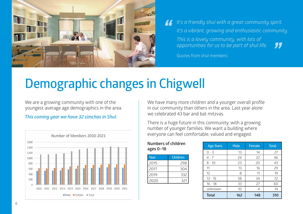

*It's a friendly shul with a great community spirit. It's a vibrant, growing and enthusiastic community. This is a lovely community, with lots of opportunities for us to be part of shul life. " "*

Quotes from shul members

## **Demographic changes in Chigwell**

We are a growing community with one of the youngest average age demographics in the area.

*This coming year we have 32 simchas in Shul.*



We have many more children and a younger overall profile in our community than others in the area. Last year alone we celebrated 43 bar and bat mitzvas.

There is a huge future in this community, with a growing number of younger families. We want a building where everyone can feel comfortable, valued and engaged.

#### **Numbers of children ages 0–18**

| Year | Children |
|------|----------|
| 2015 | 298      |
| 2017 | 304      |
| 2019 | 332      |
| 2020 | ヨン       |

| <b>Age Stats</b> | <b>Male</b> | <b>Female</b> | <b>Total</b> |
|------------------|-------------|---------------|--------------|
| $0 - 3$          | 13          | 14            | 27           |
| $4 - 7$          | 24          | 22            | 46           |
| $8 - 10$         | 23          | 20            | 43           |
| 11               | 13          | 16            | 29           |
| 12               | 8           | 11            | 19           |
| $13 - 15$        | 38          | 34            | 72           |
| $16 - 18$        | 33          | 27            | 60           |
| unknown          | 10          | 4             | 14           |
| <b>Total</b>     | 162         | 148           | 310          |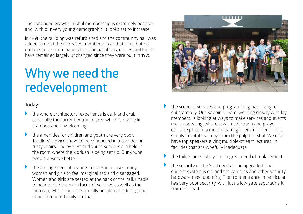The continued growth in Shul membership is extremely positive and, with our very young demographic, it looks set to increase.

In 1998 the building was refurbished and the community hall was added to meet the increased membership at that time, but no updates have been made since. The partitions, offices and toilets have remained largely unchanged since they were built in 1976.

### **Why we need the redevelopment**

#### **Today:**

- the whole architectural experience is dark and drab. especially the current entrance area which is poorly lit, cramped and unwelcoming
- the amenities for children and youth are very poor. Toddlers' services have to be conducted in a corridor on rusty chairs. The over 8s and youth services are held in the room where the kiddush is being set up. Our young people deserve better
- the arrangement of seating in the Shul causes many women and girls to feel marginalised and disengaged. Women and girls are seated at the back of the hall, unable to hear or see the main focus of services as well as the men can, which can be especially problematic during one of our frequent family simchas



- the scope of services and programming has changed substantially. Our Rabbinic Team, working closely with lay members, is looking at ways to make services and events more appealing, where Jewish education and prayer can take place in a more meaningful environment – not simply 'frontal teaching' from the pulpit in Shul. We often have top speakers giving multiple-stream lectures, in facilities that are woefully inadequate
- the toilets are shabby and in great need of replacement
- the security of the Shul needs to be upgraded. The current system is old and the cameras and other security hardware need updating. The front entrance in particular has very poor security, with just a low gate separating it from the road.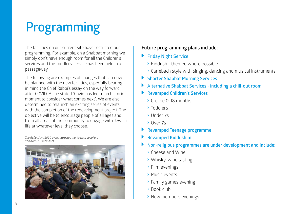# **Programming**

The facilities on our current site have restricted our programming. For example, on a Shabbat morning we simply don't have enough room for all the Children's services and the Toddlers' service has been held in a passageway.

The following are examples of changes that can now be planned with the new facilities, especially bearing in mind the Chief Rabbi's essay on the way forward after COVID. As he stated "Covid has led to an historic moment to consider what comes next". We are also determined to relaunch an exciting series of events, with the completion of the redevelopment project. The objective will be to encourage people of all ages and from all areas of the community to engage with Jewish life at whatever level they choose.

*The Reflections 2020 event attracted world-class speakers and over 250 members*



### **Future programming plans include:**

#### **Friday Night Service**

- $\rightarrow$  Kiddush themed where possible
- $\rightarrow$  Carlebach style with singing, dancing and musical instruments
- **Shorter Shabbat Morning Services**
- caret-right <sup>A</sup>**lternative Shabbat Services including a chill-out room**
- **Revamped Children's Services** 
	- $\rightarrow$  Creche 0-18 months
	- > Toddlers
	- $\rightarrow$  Under 7s
- > Over 7s
- caret-right **Revamped Teenage programme**
- **Revamped Kiddushim**
- caret-right **Non-religious programmes are under development and include:**
	- $\rightarrow$  Cheese and Wine
	- $\rightarrow$  Whisky, wine tasting
	- $\rightarrow$  Film evenings
	- > Music events
	- $\rightarrow$  Family games evening
	- $\rightarrow$  Book club
	- > New members evenings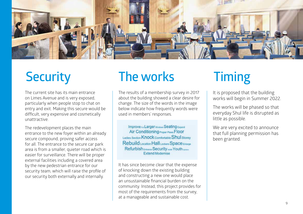

The current site has its main entrance on Limes Avenue and is very exposed, particularly when people stop to chat on entry and exit. Making this secure would be difficult, very expensive and cosmetically unattractive.

The redevelopment places the main entrance to the new foyer within an already secure compound, proving safer access for all. The entrance to the secure car park area is from a smaller, quieter road which is easier for surveillance. There will be proper external facilities including a covered area by the new pedestrian entrance for our security team, which will raise the profile of our security both externally and internally.

### **Security The works Timing**

The results of a membership survey in 2017 about the building showed a clear desire for change. The size of the words in the image below indicate how frequently words were used in members' responses.

Improve Par Larger Windows Seating Expand Air Conditioning Proper Pews Floor Ladies Section Knock Comfortable Shul Storey Rebuild Location Hall Lockers Space Enlarge Refurbish Entrance Security Install Youth Uselain **Extend Modernise** 

It has since become clear that the expense of knocking down the existing building and constructing a new one would place an unsustainable financial burden on the community. Instead, this project provides for most of the requirements from the survey, at a manageable and sustainable cost.

It is proposed that the building works will begin in Summer 2022.

The works will be phased so that everyday Shul life is disrupted as little as possible.

We are very excited to announce that full planning permission has been granted.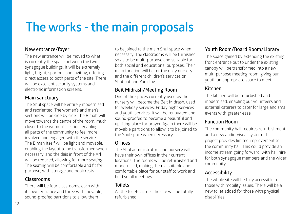# **The works - the main proposals**

#### **New entrance/foyer**

The new entrance will be moved to what is currently the space between the two synagogue buildings. It will be extremely light, bright, spacious and inviting, offering direct access to both parts of the site. There will be excellent security systems and electronic information screens.

#### **Main sanctuary**

The Shul space will be entirely modernised and reoriented. The women's and men's sections will be side by side. The Bimah will move towards the centre of the room, much closer to the women's section, enabling all parts of the community to feel more involved and engaged with the service. The Bimah itself will be light and movable, enabling the layout to be transformed when necessary, and the dais in front of the Ark will be reduced, allowing for more seating. The seating will be comfortable and fit for purpose, with storage and book rests.

#### **Classrooms**

There will be four classrooms, each with its own entrance and three with movable, sound-proofed partitions to allow them

to be joined to the main Shul space when necessary. The classrooms will be furnished so as to be multi-purpose and suitable for both social and educational purposes. Their main function will be for the daily nursery and the different children's services on Shabbat and Yom Tov.

### **Beit Midrash/Meeting Room**

One of the spaces currently used by the nursery will become the Beit Midrash, used for weekday services, Friday night services and youth services. It will be renovated and sound-proofed to become a beautiful and uplifting place for prayer. Again there will be movable partitions to allow it to be joined to the Shul space when necessary.

### **Offices**

The Shul administrators and nursery will have their own offices in their current locations. The rooms will be refurbished and modernised, making them a suitable and comfortable place for our staff to work and hold small meetings.

#### **Toilets**

All the toilets across the site will be totally refurbished.

### **Youth Room/Board Room/Library**

The space gained by extending the existing front entrance out to under the existing canopy will be transformed into a new multi-purpose meeting room, giving our youth an appropriate space to meet.

### **Kitchen**

The kitchen will be refurbished and modernised, enabling our volunteers and external caterers to cater for large and small events with greater ease.

#### **Function Room**

The community hall requires refurbishment and a new audio-visual system. This project provides limited improvement to the community hall. This could provide an income stream going forward, with hall hire for both synagogue members and the wider community.

#### **Accessibility**

The whole site will be fully accessible to those with mobility issues. There will be a new toilet added for those with physical disabilities.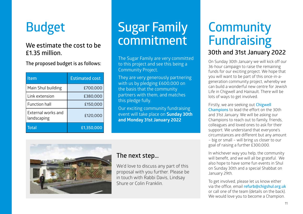# **£1.35 million.**

**The proposed budget is as follows:**

| Item                              | <b>Estimated cost</b> |
|-----------------------------------|-----------------------|
| Main Shul building                | £700,000              |
| Link extension                    | £380,000              |
| <b>Function hall</b>              | £150,000              |
| External works and<br>landscaping | £120,000              |
| <b>Total</b>                      | £1,350,000            |

### **Budget Sugar Family**  We estimate the cost to be **commitment**

The Sugar Family are very committed to this project and see this being a Community Project.

They are very generously partnering with us by pledging £600,000 on the basis that the community partners with them, and matches this pledge fully.

Our exciting community fundraising event will take place on **Sunday 30th and Monday 31st January 2022**



### **The next step…**

We'd love to discuss any part of this proposal with you further. Please be in touch with Rabbi Davis, Lindsay Shure or Colin Franklin.

# **Community Fundraising**

### **30th and 31st January 2022**

On Sunday 30th January we will kick off our 36-hour campaign to raise the remaining funds for our exciting project. We hope that you will want to be part of this once-in-ageneration community project, whereby we can build a wonderful new centre for Jewish Life in Chigwell and Hainault. There will be lots of ways to get involved.

Firstly, we are seeking out **Chigwell Champions** to lead the effort on the 30th and 31st January. We will be asking our Champions to reach out to family, friends, colleagues and loved ones to ask for their support. We understand that everyone's circumstances are different but any amount – big or small – will bring us closer to our goal of raising a further £300,000.

In whichever way you help, the community will benefit, and we will all be grateful. We also hope to have some fun events in Shul on Sunday 30th and a special Shabbat on January 29th.

To get involved, please let us know either via the office, email **refurb@chigshul.org.uk** or call one of the team (details on the back). We would love you to become a Champion.